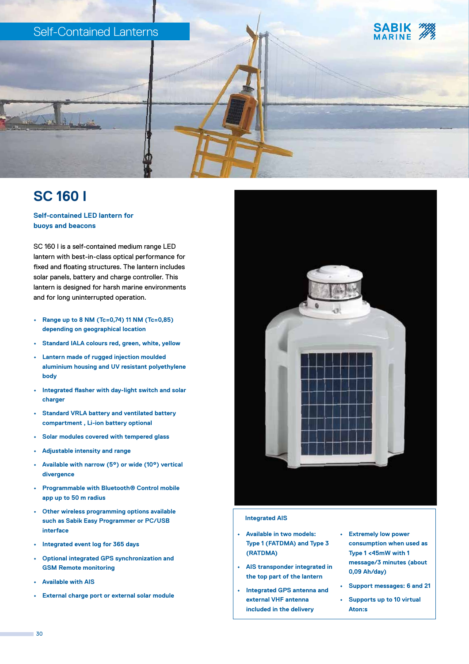

# **SC 160 I**

## **Self-contained LED lantern for buoys and beacons**

SC 160 I is a self-contained medium range LED lantern with best-in-class optical performance for fixed and floating structures. The lantern includes solar panels, battery and charge controller. This lantern is designed for harsh marine environments and for long uninterrupted operation.

- **• Range up to 8 NM (Tc=0,74) 11 NM (Tc=0,85) depending on geographical location**
- **• Standard IALA colours red, green, white, yellow**
- **• Lantern made of rugged injection moulded aluminium housing and UV resistant polyethylene body**
- **• Integrated flasher with day-light switch and solar charger**
- **• Standard VRLA battery and ventilated battery compartment , Li-ion battery optional**
- **• Solar modules covered with tempered glass**
- **• Adjustable intensity and range**
- **• Available with narrow (5°) or wide (10°) vertical divergence**
- **• Programmable with Bluetooth® Control mobile app up to 50 m radius**
- **• Other wireless programming options available such as Sabik Easy Programmer or PC/USB interface**
- **• Integrated event log for 365 days**
- **• Optional integrated GPS synchronization and GSM Remote monitoring**
- **• Available with AIS**
- **• External charge port or external solar module**



#### **Integrated AIS**

- **• Available in two models: Type 1 (FATDMA) and Type 3 (RATDMA)**
- **• AIS transponder integrated in the top part of the lantern**
- **• Integrated GPS antenna and external VHF antenna included in the delivery**
- **• Extremely low power consumption when used as Type 1 <45mW with 1 message/3 minutes (about 0,09 Ah/day)**
- **• Support messages: 6 and 21**
- **• Supports up to 10 virtual Aton:s**